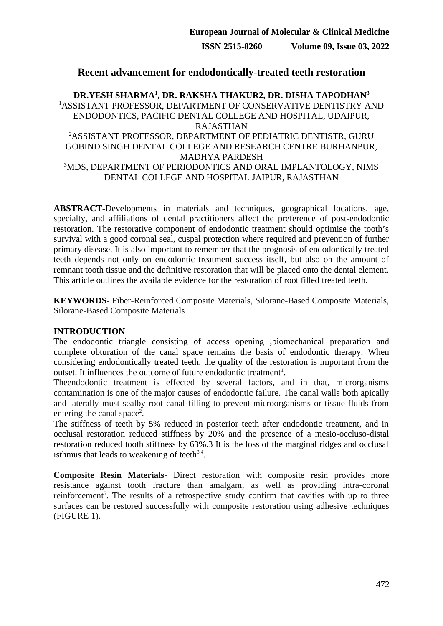## **Recent advancement for endodontically-treated teeth restoration**

## **DR.YESH SHARMA<sup>1</sup> , DR. RAKSHA THAKUR2, DR. DISHA TAPODHAN<sup>3</sup>** <sup>1</sup>ASSISTANT PROFESSOR, DEPARTMENT OF CONSERVATIVE DENTISTRY AND ENDODONTICS, PACIFIC DENTAL COLLEGE AND HOSPITAL, UDAIPUR, RAJASTHAN <sup>2</sup>ASSISTANT PROFESSOR, DEPARTMENT OF PEDIATRIC DENTISTR, GURU GOBIND SINGH DENTAL COLLEGE AND RESEARCH CENTRE BURHANPUR, MADHYA PARDESH <sup>3</sup>MDS, DEPARTMENT OF PERIODONTICS AND ORAL IMPLANTOLOGY, NIMS DENTAL COLLEGE AND HOSPITAL JAIPUR, RAJASTHAN

**ABSTRACT-**Developments in materials and techniques, geographical locations, age, specialty, and affiliations of dental practitioners affect the preference of post-endodontic restoration. The restorative component of endodontic treatment should optimise the tooth's survival with a good coronal seal, cuspal protection where required and prevention of further primary disease. It is also important to remember that the prognosis of endodontically treated teeth depends not only on endodontic treatment success itself, but also on the amount of remnant tooth tissue and the definitive restoration that will be placed onto the dental element. This article outlines the available evidence for the restoration of root filled treated teeth.

**KEYWORDS-** Fiber-Reinforced Composite Materials, Silorane-Based Composite Materials, Silorane-Based Composite Materials

## **INTRODUCTION**

The endodontic triangle consisting of access opening ,biomechanical preparation and complete obturation of the canal space remains the basis of endodontic therapy. When considering endodontically treated teeth, the quality of the restoration is important from the outset. It influences the outcome of future endodontic treatment<sup>1</sup>.

Theendodontic treatment is effected by several factors, and in that, microrganisms contamination is one of the major causes of endodontic failure. The canal walls both apically and laterally must sealby root canal filling to prevent microorganisms or tissue fluids from entering the canal space<sup>2</sup>.

The stiffness of teeth by 5% reduced in posterior teeth after endodontic treatment, and in occlusal restoration reduced stiffness by 20% and the presence of a mesio-occluso-distal restoration reduced tooth stiffness by 63%.3 It is the loss of the marginal ridges and occlusal isthmus that leads to weakening of teeth $3,4$ .

**Composite Resin Materials**- Direct restoration with composite resin provides more resistance against tooth fracture than amalgam, as well as providing intra-coronal reinforcement<sup>5</sup>. The results of a retrospective study confirm that cavities with up to three surfaces can be restored successfully with composite restoration using adhesive techniques (FIGURE 1).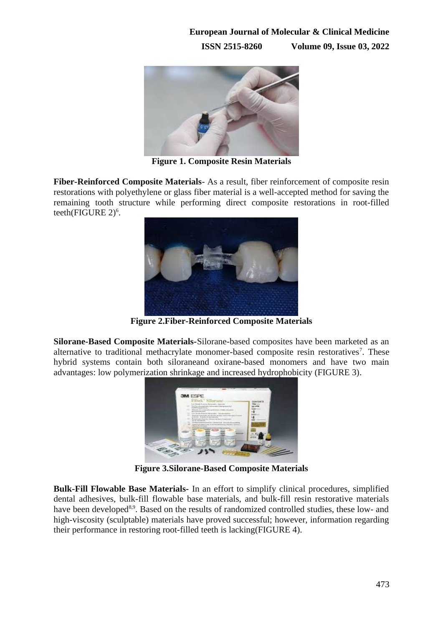

**Figure 1. Composite Resin Materials**

**Fiber-Reinforced Composite Materials**- As a result, fiber reinforcement of composite resin restorations with polyethylene or glass fiber material is a well-accepted method for saving the remaining tooth structure while performing direct composite restorations in root-filled teeth(FIGURE 2) $^6$ .



**Figure 2.Fiber-Reinforced Composite Materials**

**Silorane-Based Composite Materials-**Silorane-based composites have been marketed as an alternative to traditional methacrylate monomer-based composite resin restoratives<sup>7</sup>. These hybrid systems contain both siloraneand oxirane-based monomers and have two main advantages: low polymerization shrinkage and increased hydrophobicity (FIGURE 3).



**Figure 3.Silorane-Based Composite Materials**

**Bulk-Fill Flowable Base Materials-** In an effort to simplify clinical procedures, simplified dental adhesives, bulk-fill flowable base materials, and bulk-fill resin restorative materials have been developed<sup>8,9</sup>. Based on the results of randomized controlled studies, these low- and high-viscosity (sculptable) materials have proved successful; however, information regarding their performance in restoring root-filled teeth is lacking(FIGURE 4).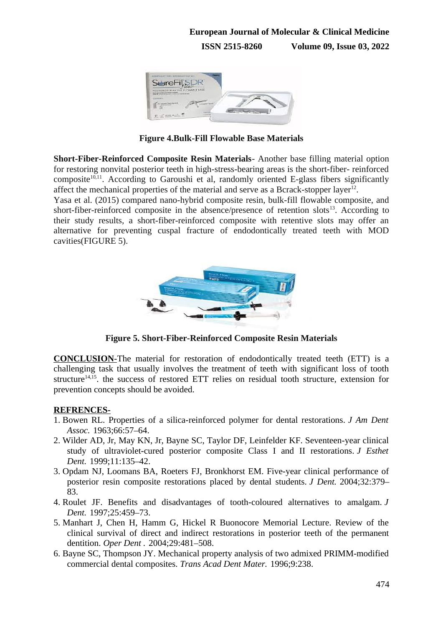

**Figure 4.Bulk-Fill Flowable Base Materials**

**Short-Fiber-Reinforced Composite Resin Materials**- Another base filling material option for restoring nonvital posterior teeth in high-stress-bearing areas is the short-fiber- reinforced composite<sup>10,11</sup>. According to Garoushi et al, randomly oriented E-glass fibers significantly affect the mechanical properties of the material and serve as a Bcrack-stopper layer $^{12}$ .

Yasa et al. (2015) compared nano-hybrid composite resin, bulk-fill flowable composite, and short-fiber-reinforced composite in the absence/presence of retention slots<sup>13</sup>. According to their study results, a short-fiber-reinforced composite with retentive slots may offer an alternative for preventing cuspal fracture of endodontically treated teeth with MOD cavities(FIGURE 5).



**Figure 5. Short-Fiber-Reinforced Composite Resin Materials**

**CONCLUSION-The material for restoration of endodontically treated teeth (ETT) is a** challenging task that usually involves the treatment of teeth with significant loss of tooth structure<sup>14,15</sup>, the success of restored ETT relies on residual tooth structure, extension for prevention concepts should be avoided.

## **REFRENCES-**

- 1. Bowen RL. Properties of a silica-reinforced polymer for dental restorations. *J Am Dent Assoc.* 1963;66:57–64.
- 2. Wilder AD, Jr, May KN, Jr, Bayne SC, Taylor DF, Leinfelder KF. Seventeen-year clinical study of ultraviolet-cured posterior composite Class I and II restorations. *J Esthet Dent.* 1999;11:135–42.
- 3. Opdam NJ, Loomans BA, Roeters FJ, Bronkhorst EM. Five-year clinical performance of posterior resin composite restorations placed by dental students. *J Dent.* 2004;32:379– 83.
- 4. Roulet JF. Benefits and disadvantages of tooth-coloured alternatives to amalgam. *J Dent.* 1997;25:459–73.
- 5. Manhart J, Chen H, Hamm G, Hickel R Buonocore Memorial Lecture. Review of the clinical survival of direct and indirect restorations in posterior teeth of the permanent dentition. *Oper Dent .* 2004;29:481–508.
- 6. Bayne SC, Thompson JY. Mechanical property analysis of two admixed PRIMM-modified commercial dental composites. *Trans Acad Dent Mater.* 1996;9:238.